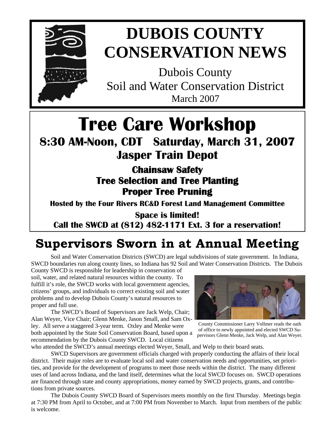

# **DUBOIS COUNTY CONSERVATION NEWS**

Dubois County Soil and Water Conservation District March 2007

# **Tree Care Workshop**

## **8:30 AM-Noon, CDT Saturday, March 31, 2007 Jasper Train Depot**

**Chainsaw Safety Tree Selection and Tree Planting Proper Tree Pruning** 

**Hosted by the Four Rivers RC&D Forest Land Management Committee** 

**Space is limited! Call the SWCD at (812) 482-1171 Ext. 3 for a reservation!**

## **Supervisors Sworn in at Annual Meeting**

 Soil and Water Conservation Districts (SWCD) are legal subdivisions of state government. In Indiana, SWCD boundaries run along county lines, so Indiana has 92 Soil and Water Conservation Districts. The Dubois

County SWCD is responsible for leadership in conservation of soil, water, and related natural resources within the county. To fulfill it's role, the SWCD works with local government agencies, citizens' groups, and individuals to correct existing soil and water problems and to develop Dubois County's natural resources to proper and full use.

 The SWCD's Board of Supervisors are Jack Welp, Chair; Alan Weyer, Vice Chair; Glenn Menke, Jason Small, and Sam Oxley. All serve a staggered 3-year term. Oxley and Menke were both appointed by the State Soil Conservation Board, based upon a recommendation by the Dubois County SWCD. Local citizens



County Commissioner Larry Vollmer reads the oath of office to newly appointed and elected SWCD Supervisors Glenn Menke, Jack Welp, and Alan Weyer.

who attended the SWCD's annual meetings elected Weyer, Small, and Welp to their board seats.

 SWCD Supervisors are government officials charged with properly conducting the affairs of their local district. Their major roles are to evaluate local soil and water conservation needs and opportunities, set priorities, and provide for the development of programs to meet those needs within the district. The many different uses of land across Indiana, and the land itself, determines what the local SWCD focuses on. SWCD operations are financed through state and county appropriations, money earned by SWCD projects, grants, and contributions from private sources.

 The Dubois County SWCD Board of Supervisors meets monthly on the first Thursday. Meetings begin at 7:30 PM from April to October, and at 7:00 PM from November to March. Input from members of the public is welcome.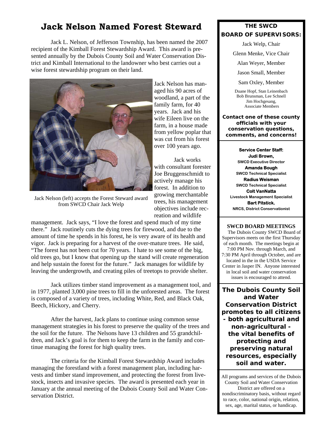### **Jack Nelson Named Forest Steward**

Jack L. Nelson, of Jefferson Township, has been named the 2007 recipient of the Kimball Forest Stewardship Award. This award is presented annually by the Dubois County Soil and Water Conservation District and Kimball International to the landowner who best carries out a wise forest stewardship program on their land.



Jack Nelson (left) accepts the Forest Steward award from SWCD Chair Jack Welp

reation and wildlife management. Jack says, "I love the forest and spend much of my time there." Jack routinely cuts the dying trees for firewood, and due to the amount of time he spends in his forest, he is very aware of its health and vigor. Jack is preparing for a harvest of the over-mature trees. He said, "The forest has not been cut for 70 years. I hate to see some of the big, old trees go, but I know that opening up the stand will create regeneration and help sustain the forest for the future." Jack manages for wildlife by leaving the undergrowth, and creating piles of treetops to provide shelter.

Jack utilizes timber stand improvement as a management tool, and in 1977, planted 3,000 pine trees to fill in the unforested areas. The forest is composed of a variety of trees, including White, Red, and Black Oak, Beech, Hickory, and Cherry.

After the harvest, Jack plans to continue using common sense management strategies in his forest to preserve the quality of the trees and the soil for the future. The Nelsons have 13 children and 55 grandchildren, and Jack's goal is for them to keep the farm in the family and continue managing the forest for high quality trees.

 The criteria for the Kimball Forest Stewardship Award includes managing the forestland with a forest management plan, including harvests and timber stand improvement, and protecting the forest from livestock, insects and invasive species. The award is presented each year in January at the annual meeting of the Dubois County Soil and Water Conservation District.

#### **THE SWCD BOARD OF SUPERVISORS:**

Jack Welp, Chair

Glenn Menke, Vice Chair

Alan Weyer, Member

Jason Small, Member

Sam Oxley, Member

Duane Hopf, Stan Leinenbach Bob Brunsman, Lee Schnell Jim Hochgesang, Associate Members

**Contact one of these county officials with your conservation questions, comments, and concerns!** 

#### **Service Center Staff:**

Jack works

trees, his management objectives include rec-

**Judi Brown, SWCD Executive Director Amanda Bough SWCD Technical Specialist Radius Weisman SWCD Technical Specialist Colt VanNatta Livestock Management Specialist Bart Pitstick, NRCS, District Conservationist** 

#### **SWCD BOARD MEETINGS**

 The Dubois County SWCD Board of Supervisors meets on the first Thursday of each month. The meetings begin at 7:00 PM Nov. through March, and 7:30 PM April through October, and are located in the in the USDA Service Center in Jasper IN. Anyone interested in local soil and water conservation issues is encouraged to attend.

**The Dubois County Soil and Water Conservation District promotes to all citizens - both agricultural and non-agricultural the vital benefits of protecting and preserving natural resources, especially soil and water.** 

All programs and services of the Dubois County Soil and Water Conservation District are offered on a nondiscriminatory basis, without regard to race, color, national origin, relation, sex, age, marital status, or handicap.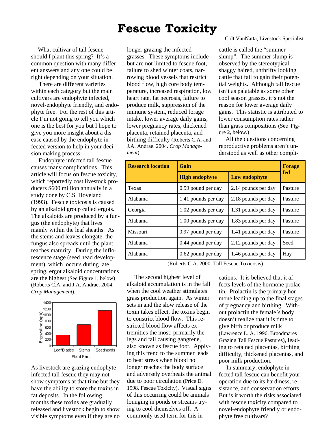### **Fescue Toxicity**

 What cultivar of tall fescue should I plant this spring? It's a common question with many different answers and any one could be right depending on your situation.

 There are different varieties within each category but the main cultivars are endophyte infected, novel-endophyte friendly, and endophyte free. For the rest of this article I'm not going to tell you which one is the best for you but I hope to give you more insight about a disease caused by the endophyte infected version to help in your decision making process.

 Endophyte infected tall fescue causes many complications. This article will focus on fescue toxicity, which reportedly cost livestock producers \$600 million annually in a study done by C.S. Hoveland (1993). Fescue toxicosis is caused by an alkaloid group called ergots. The alkaloids are produced by a fungus (the endophyte) that lives mainly within the leaf sheaths. As the stems and leaves elongate, the fungus also spreads until the plant reaches maturity. During the inflorescence stage (seed head development), which occurs during late spring, ergot alkaloid concentrations are the highest (See Figure 1, below) (Roberts C.A. and J.A. Andrae. 2004. *Crop Management*).



As livestock are grazing endophyte infected tall fescue they may not show symptoms at that time but they have the ability to store the toxins in fat deposits. In the following months these toxins are gradually released and livestock begin to show visible symptoms even if they are no longer grazing the infected grasses. These symptoms include but are not limited to fescue foot, failure to shed winter coats, narrowing blood vessels that restrict blood flow, high core body temperature, increased respiration, low heart rate, fat necrosis, failure to produce milk, suppression of the immune system, reduced forage intake, lower average daily gains, lower pregnancy rates, thickened placenta, retained placenta, and birthing difficulty (Roberts C.A. and J.A. Andrae. 2004. *Crop Management*).

Colt VanNatta, Livestock Specialist

cattle is called the "summer slump". The summer slump is observed by the stereotypical shaggy haired, unthrifty looking cattle that fail to gain their potential weights. Although tall fescue isn't as palatable as some other cool season grasses, it's not the reason for lower average daily gains. This statistic is attributed to lower consumption rates rather than grass compositions (See Figure 2, below.)

 All the questions concerning reproductive problems aren't understood as well as other compli-

| <b>Research location</b> | Gain                  |                     | <b>Forage</b> |
|--------------------------|-----------------------|---------------------|---------------|
|                          | <b>High endophyte</b> | Low endophyte       | fed           |
| Texas                    | 0.99 pound per day    | 2.14 pounds per day | Pasture       |
| Alabama                  | 1.41 pounds per day   | 2.18 pounds per day | Pasture       |
| Georgia                  | 1.02 pounds per day   | 1.31 pounds per day | Pasture       |
| Alabama                  | 1.00 pounds per day   | 1.83 pounds per day | Pasture       |
| Missouri                 | 0.97 pound per day    | 1.41 pounds per day | Pasture       |
| Alabama                  | 0.44 pound per day    | 2.12 pounds per day | Seed          |
| Alabama                  | 0.62 pound per day    | 1.46 pounds per day | Hay           |

(Roberts C.A. 2000. Tall Fescue Toxicosis)

 The second highest level of alkaloid accumulation is in the fall when the cool weather stimulates grass production again. As winter sets in and the slow release of the toxin takes effect, the toxins begin to constrict blood flow. This restricted blood flow affects extremities the most; primarily the legs and tail causing gangrene, also known as fescue foot. Applying this trend to the summer leads to heat stress when blood no longer reaches the body surface and adversely overheats the animal due to poor circulation (Price D. 1998. Fescue Toxicity). Visual signs of this occurring could be animals lounging in ponds or streams trying to cool themselves off. A commonly used term for this in

cations. It is believed that it affects levels of the hormone prolactin. Prolactin is the primary hormone leading up to the final stages of pregnancy and birthing. Without prolactin the female's body doesn't realize that it is time to give birth or produce milk (Lawrence L. A. 1996. Broodmares Grazing Tall Fescue Pastures), leading to retained placentas, birthing difficulty, thickened placentas, and poor milk production.

 In summary, endophyte infected tall fescue can benefit your operation due to its hardiness, resistance, and conservation efforts. But is it worth the risks associated with fescue toxicity compared to novel-endophyte friendly or endophyte free cultivars?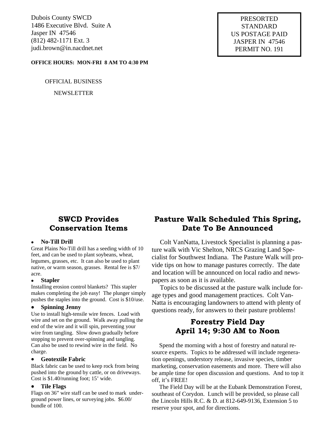Dubois County SWCD 1486 Executive Blvd. Suite A Jasper IN 47546 (812) 482-1171 Ext. 3 judi.brown@in.nacdnet.net

#### **OFFICE HOURS: MON-FRI 8 AM TO 4:30 PM**

OFFICIAL BUSINESS

NEWSLETTER

PRESORTED STANDARD US POSTAGE PAID JASPER IN 47546 PERMIT NO. 191

### **SWCD Provides Conservation Items**

#### • **No-Till Drill**

Great Plains No-Till drill has a seeding width of 10 feet, and can be used to plant soybeans, wheat, legumes, grasses, etc. It can also be used to plant native, or warm season, grasses. Rental fee is \$7/ acre.

#### • **Stapler**

Installing erosion control blankets? This stapler makes completing the job easy! The plunger simply pushes the staples into the ground. Cost is \$10/use.

#### • **Spinning Jenny**

Use to install high-tensile wire fences. Load with wire and set on the ground. Walk away pulling the end of the wire and it will spin, preventing your wire from tangling. Slow down gradually before stopping to prevent over-spinning and tangling. Can also be used to rewind wire in the field. No charge.

#### • **Geotextile Fabric**

Black fabric can be used to keep rock from being pushed into the ground by cattle, or on driveways. Cost is \$1.40/running foot; 15' wide.

#### • **Tile Flags**

Flags on 36" wire staff can be used to mark underground power lines, or surveying jobs. \$6.00/ bundle of 100.

### **Pasture Walk Scheduled This Spring, Date To Be Announced**

 Colt VanNatta, Livestock Specialist is planning a pasture walk with Vic Shelton, NRCS Grazing Land Specialist for Southwest Indiana. The Pasture Walk will provide tips on how to manage pastures correctly. The date and location will be announced on local radio and newspapers as soon as it is available.

 Topics to be discussed at the pasture walk include forage types and good management practices. Colt Van-Natta is encouraging landowners to attend with plenty of questions ready, for answers to their pasture problems!

### **Forestry Field Day April 14; 9:30 AM to Noon**

 Spend the morning with a host of forestry and natural resource experts. Topics to be addressed will include regeneration openings, understory release, invasive species, timber marketing, conservation easements and more. There will also be ample time for open discussion and questions. And to top it off, it's FREE!

 The Field Day will be at the Eubank Demonstration Forest, southeast of Corydon. Lunch will be provided, so please call the Lincoln Hills R.C. & D. at 812-649-9136, Extension 5 to reserve your spot, and for directions.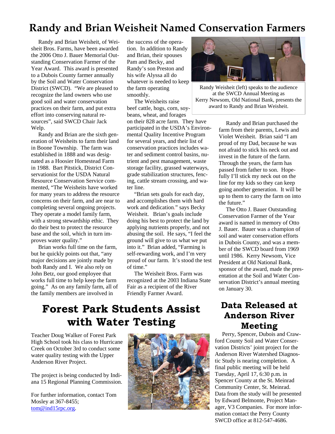## **Randy and Brian Weisheit Named Conservation Farmers**

 Randy and Brian Weisheit, of Weisheit Bros. Farms, have been awarded the 2006 Otto J. Bauer Memorial Outstanding Conservation Farmer of the Year Award. This award is presented to a Dubois County farmer annually by the Soil and Water Conservation District (SWCD). "We are pleased to recognize the land owners who use good soil and water conservation practices on their farm, and put extra effort into conserving natural resources", said SWCD Chair Jack Welp.

 Randy and Brian are the sixth generation of Weisheits to farm their land in Boone Township. The farm was established in 1888 and was designated as a Hoosier Homestead Farm in 1988. Bart Pitstick, District Conservationist for the USDA Natural Resource Conservation Service commented, "The Weisheits have worked for many years to address the resource concerns on their farm, and are near to completing several ongoing projects. They operate a model family farm, with a strong stewardship ethic. They do their best to protect the resource base and the soil, which in turn improves water quality."

 Brian works full time on the farm, but he quickly points out that, "any major decisions are jointly made by both Randy and I. We also rely on John Betz, our good employee that works full time to help keep the farm going." As on any family farm, all of the family members are involved in

the success of the operation. In addition to Randy and Brian, their spouses Pam and Becky, and Randy's son Preston and his wife Alyssa all do whatever is needed to keep the farm operating smoothly.

 The Weisheits raise beef cattle, hogs, corn, soybeans, wheat, and forages on their 828 acre farm. They have participated in the USDA's Environmental Quality Incentive Program for several years, and their list of conservation practices includes water and sediment control basins, nutrient and pest management, waste storage facility, grassed waterways, grade stabilization structures, fencing, cattle stream crossing, and water line.

 "Brian sets goals for each day, and accomplishes them with hard work and dedication." says Becky Weisheit. Brian's goals include doing his best to protect the land by applying nutrients properly, and not abusing the soil. He says, "I feel the ground will give to us what we put into it." Brian added, "Farming is self-rewarding work, and I'm very proud of our farm. It's stood the test of time."

 The Weisheit Bros. Farm was recognized at the 2003 Indiana State Fair as a recipient of the River Friendly Farmer Award.



Randy Weisheit (left) speaks to the audience at the SWCD Annual Meeting as Kerry Newsom, Old National Bank, presents the award to Randy and Brian Weisheit.

 Randy and Brian purchased the farm from their parents, Lewis and Violet Weisheit. Brian said "I am proud of my Dad, because he was not afraid to stick his neck out and invest in the future of the farm. Through the years, the farm has passed from father to son. Hopefully I'll stick my neck out on the line for my kids so they can keep going another generation. It will be up to them to carry the farm on into the future."

 The Otto J. Bauer Outstanding Conservation Farmer of the Year award is named in memory of Otto J. Bauer. Bauer was a champion of soil and water conservation efforts in Dubois County, and was a member of the SWCD board from 1969 until 1986. Kerry Newsom, Vice President at Old National Bank, sponsor of the award, made the presentation at the Soil and Water Conservation District's annual meeting on January 30.

## **Forest Park Students Assist with Water Testing**

Teacher Doug Walker of Forest Park High School took his class to Hurricane Creek on October 3rd to conduct some water quality testing with the Upper Anderson River Project.

The project is being conducted by Indiana 15 Regional Planning Commission.

For further information, contact Tom Mosley at 367-8455; tom@ind15rpc.org.



### **Data Released at Anderson River Meeting**

 Perry, Spencer, Dubois and Crawford County Soil and Water Conservation Districts' joint project for the Anderson River Watershed Diagnostic Study is nearing completion. A final public meeting will be held Tuesday, April 17, 6:30 p.m. in Spencer County at the St. Meinrad Community Center, St. Meinrad. Data from the study will be presented by Edward Belmonte, Project Manager, V3 Companies. For more information contact the Perry County SWCD office at 812-547-4686.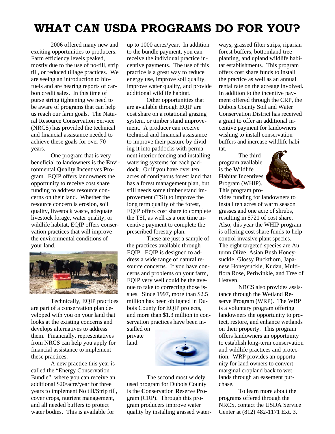## **WHAT CAN USDA PROGRAMS DO FOR YOU?**

 2006 offered many new and exciting opportunities to producers. Farm efficiency levels peaked, mostly due to the use of no-till, strip till, or reduced tillage practices. We are seeing an introduction to biofuels and are hearing reports of carbon credit sales. In this time of purse string tightening we need to be aware of programs that can help us reach our farm goals. The Natural Resource Conservation Service (NRCS) has provided the technical and financial assistance needed to achieve these goals for over 70 years.

 One program that is very beneficial to landowners is the **E**nvironmental **Q**uality **I**ncentives **P**rogram. EQIP offers landowners the opportunity to receive cost share funding to address resource concerns on their land. Whether the resource concern is erosion, soil quality, livestock waste, adequate livestock forage, water quality, or wildlife habitat, EQIP offers conservation practices that will improve the environmental conditions of your land.



 Technically, EQIP practices are part of a conservation plan developed with you on your land that looks at the existing concerns and develops alternatives to address them. Financially, representatives from NRCS can help you apply for financial assistance to implement these practices.

 A new practice this year is called the "Energy Conservation Bundle", where you can receive an additional \$20/acre/year for three years to implement No till/Strip till, cover crops, nutrient management, and all needed buffers to protect water bodies. This is available for

up to 1000 acres/year. In addition to the bundle payment, you can receive the individual practice incentive payments. The use of this practice is a great way to reduce energy use, improve soil quality, improve water quality, and provide additional wildlife habitat.

 Other opportunities that are available through EQIP are cost share on a rotational grazing system, or timber stand improvement. A producer can receive technical and financial assistance to improve their pasture by dividing it into paddocks with permanent interior fencing and installing watering systems for each paddock. Or if you have over ten acres of contiguous forest land that has a forest management plan, but still needs some timber stand improvement (TSI) to improve the long term quality of the forest, EQIP offers cost share to complete the TSI, as well as a one time incentive payment to complete the prescribed forestry plan.

 These are just a sample of the practices available through EQIP. EQIP is designed to address a wide range of natural resource concerns. If you have concerns and problems on your farm, EQIP very well could be the avenue to take to correcting those issues. Since 1997, more than \$2.5 million has been obligated in Dubois County for EQIP projects, and more than \$1.3 million in conservation practices have been in-

stalled on private land.



 The second most widely used program for Dubois County is the **C**onservation **R**eserve **P**rogram (CRP). Through this program producers improve water quality by installing grassed waterways, grassed filter strips, riparian forest buffers, bottomland tree planting, and upland wildlife habitat establishments. This program offers cost share funds to install the practice as well as an annual rental rate on the acreage involved. In addition to the incentive payment offered through the CRP, the Dubois County Soil and Water Conservation District has received a grant to offer an additional incentive payment for landowners wishing to install conservation buffers and increase wildlife habitat.

 The third program available is the **W**ildlife **H**abitat **I**ncentives **P**rogram (WHIP). This program pro-



vides funding for landowners to install ten acres of warm season grasses and one acre of shrubs, resulting in \$721 of cost share. Also, this year the WHIP program is offering cost share funds to help control invasive plant species. The eight targeted species are Autumn Olive, Asian Bush Honeysuckle, Glossy Buckthorn, Japanese Honeysuckle, Kudzu, Multiflora Rose, Periwinkle, and Tree of Heaven.

 NRCS also provides assistance through the **W**etland **R**eserve **P**rogram (WRP). The WRP is a voluntary program offering landowners the opportunity to protect, restore, and enhance wetlands on their property. This program offers landowners an opportunity to establish long-term conservation and wildlife practices and protection. WRP provides an opportunity for land owners to convert marginal cropland back to wetlands through an easement purchase.

 To learn more about the programs offered through the NRCS, contact the USDA Service Center at (812) 482-1171 Ext. 3.